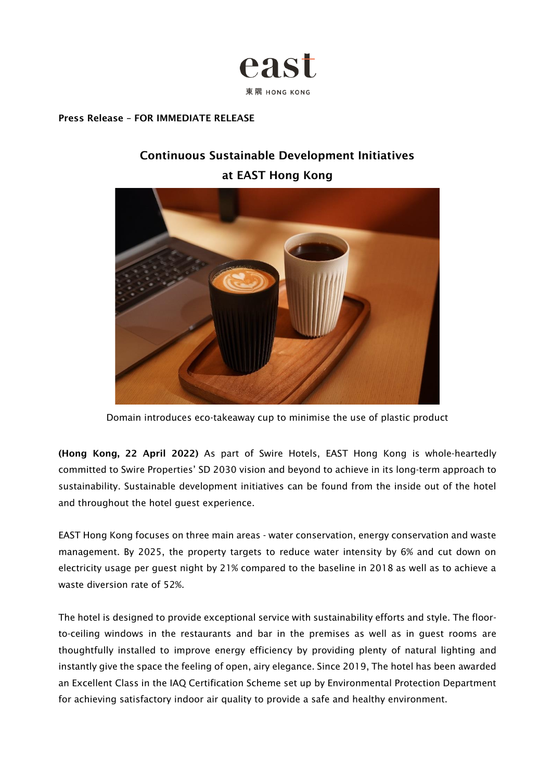

#### Press Release – FOR IMMEDIATE RELEASE

# Continuous Sustainable Development Initiatives at EAST Hong Kong



Domain introduces eco-takeaway cup to minimise the use of plastic product

(Hong Kong, 22 April 2022) As part of Swire Hotels, EAST Hong Kong is whole-heartedly committed to Swire Properties' SD 2030 vision and beyond to achieve in its long-term approach to sustainability. Sustainable development initiatives can be found from the inside out of the hotel and throughout the hotel guest experience.

EAST Hong Kong focuses on three main areas - water conservation, energy conservation and waste management. By 2025, the property targets to reduce water intensity by 6% and cut down on electricity usage per guest night by 21% compared to the baseline in 2018 as well as to achieve a waste diversion rate of 52%.

The hotel is designed to provide exceptional service with sustainability efforts and style. The floorto-ceiling windows in the restaurants and bar in the premises as well as in guest rooms are thoughtfully installed to improve energy efficiency by providing plenty of natural lighting and instantly give the space the feeling of open, airy elegance. Since 2019, The hotel has been awarded an Excellent Class in the IAQ Certification Scheme set up by Environmental Protection Department for achieving satisfactory indoor air quality to provide a safe and healthy environment.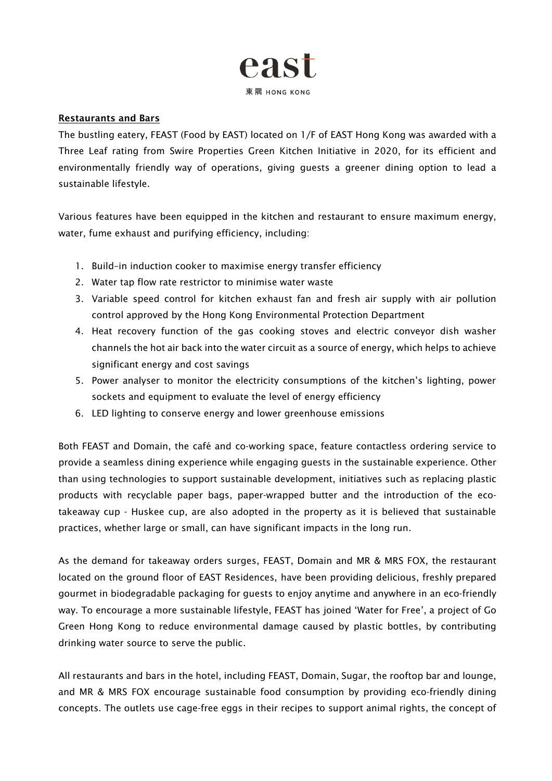

### Restaurants and Bars

The bustling eatery, FEAST (Food by EAST) located on 1/F of EAST Hong Kong was awarded with a Three Leaf rating from Swire Properties Green Kitchen Initiative in 2020, for its efficient and environmentally friendly way of operations, giving guests a greener dining option to lead a sustainable lifestyle.

Various features have been equipped in the kitchen and restaurant to ensure maximum energy, water, fume exhaust and purifying efficiency, including:

- 1. Build–in induction cooker to maximise energy transfer efficiency
- 2. Water tap flow rate restrictor to minimise water waste
- 3. Variable speed control for kitchen exhaust fan and fresh air supply with air pollution control approved by the Hong Kong Environmental Protection Department
- 4. Heat recovery function of the gas cooking stoves and electric conveyor dish washer channels the hot air back into the water circuit as a source of energy, which helps to achieve significant energy and cost savings
- 5. Power analyser to monitor the electricity consumptions of the kitchen's lighting, power sockets and equipment to evaluate the level of energy efficiency
- 6. LED lighting to conserve energy and lower greenhouse emissions

Both FEAST and Domain, the café and co-working space, feature contactless ordering service to provide a seamless dining experience while engaging guests in the sustainable experience. Other than using technologies to support sustainable development, initiatives such as replacing plastic products with recyclable paper bags, paper-wrapped butter and the introduction of the ecotakeaway cup - Huskee cup, are also adopted in the property as it is believed that sustainable practices, whether large or small, can have significant impacts in the long run.

As the demand for takeaway orders surges, FEAST, Domain and MR & MRS FOX, the restaurant located on the ground floor of EAST Residences, have been providing delicious, freshly prepared gourmet in biodegradable packaging for guests to enjoy anytime and anywhere in an eco-friendly way. To encourage a more sustainable lifestyle, FEAST has joined 'Water for Free', a project of Go Green Hong Kong to reduce environmental damage caused by plastic bottles, by contributing drinking water source to serve the public.

All restaurants and bars in the hotel, including FEAST, Domain, Sugar, the rooftop bar and lounge, and MR & MRS FOX encourage sustainable food consumption by providing eco-friendly dining concepts. The outlets use cage-free eggs in their recipes to support animal rights, the concept of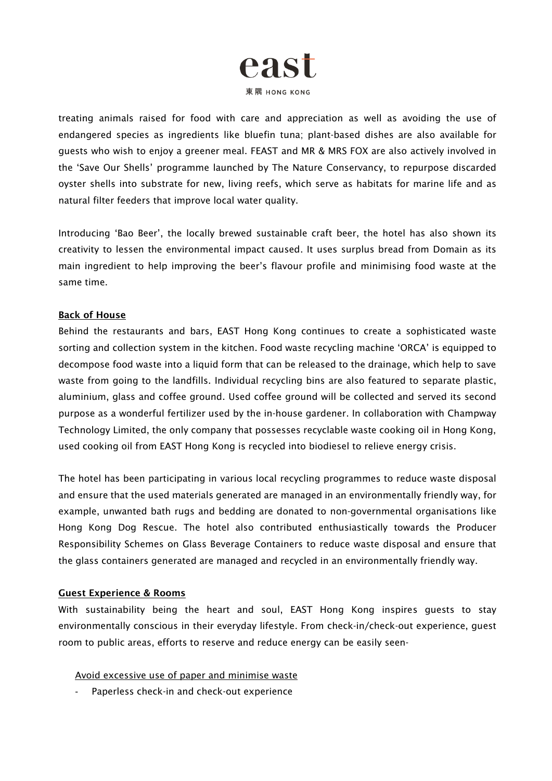

treating animals raised for food with care and appreciation as well as avoiding the use of endangered species as ingredients like bluefin tuna; plant-based dishes are also available for guests who wish to enjoy a greener meal. FEAST and MR & MRS FOX are also actively involved in the 'Save Our Shells' programme launched by The Nature Conservancy, to repurpose discarded oyster shells into substrate for new, living reefs, which serve as habitats for marine life and as natural filter feeders that improve local water quality.

Introducing 'Bao Beer', the locally brewed sustainable craft beer, the hotel has also shown its creativity to lessen the environmental impact caused. It uses surplus bread from Domain as its main ingredient to help improving the beer's flavour profile and minimising food waste at the same time.

#### Back of House

Behind the restaurants and bars, EAST Hong Kong continues to create a sophisticated waste sorting and collection system in the kitchen. Food waste recycling machine 'ORCA' is equipped to decompose food waste into a liquid form that can be released to the drainage, which help to save waste from going to the landfills. Individual recycling bins are also featured to separate plastic, aluminium, glass and coffee ground. Used coffee ground will be collected and served its second purpose as a wonderful fertilizer used by the in-house gardener. In collaboration with Champway Technology Limited, the only company that possesses recyclable waste cooking oil in Hong Kong, used cooking oil from EAST Hong Kong is recycled into biodiesel to relieve energy crisis.

The hotel has been participating in various local recycling programmes to reduce waste disposal and ensure that the used materials generated are managed in an environmentally friendly way, for example, unwanted bath rugs and bedding are donated to non-governmental organisations like Hong Kong Dog Rescue. The hotel also contributed enthusiastically towards the Producer Responsibility Schemes on Glass Beverage Containers to reduce waste disposal and ensure that the glass containers generated are managed and recycled in an environmentally friendly way.

#### Guest Experience & Rooms

With sustainability being the heart and soul, EAST Hong Kong inspires guests to stay environmentally conscious in their everyday lifestyle. From check-in/check-out experience, guest room to public areas, efforts to reserve and reduce energy can be easily seen-

Avoid excessive use of paper and minimise waste

- Paperless check-in and check-out experience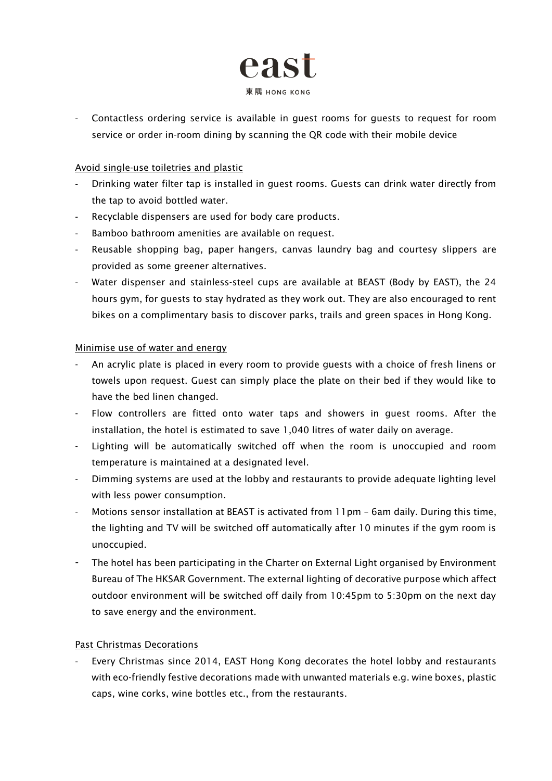

- Contactless ordering service is available in guest rooms for guests to request for room service or order in-room dining by scanning the QR code with their mobile device

# Avoid single-use toiletries and plastic

- Drinking water filter tap is installed in guest rooms. Guests can drink water directly from the tap to avoid bottled water.
- Recyclable dispensers are used for body care products.
- Bamboo bathroom amenities are available on request.
- Reusable shopping bag, paper hangers, canvas laundry bag and courtesy slippers are provided as some greener alternatives.
- Water dispenser and stainless-steel cups are available at BEAST (Body by EAST), the 24 hours gym, for guests to stay hydrated as they work out. They are also encouraged to rent bikes on a complimentary basis to discover parks, trails and green spaces in Hong Kong.

# Minimise use of water and energy

- An acrylic plate is placed in every room to provide guests with a choice of fresh linens or towels upon request. Guest can simply place the plate on their bed if they would like to have the bed linen changed.
- Flow controllers are fitted onto water taps and showers in guest rooms. After the installation, the hotel is estimated to save 1,040 litres of water daily on average.
- Lighting will be automatically switched off when the room is unoccupied and room temperature is maintained at a designated level.
- Dimming systems are used at the lobby and restaurants to provide adequate lighting level with less power consumption.
- Motions sensor installation at BEAST is activated from 11pm 6am daily. During this time, the lighting and TV will be switched off automatically after 10 minutes if the gym room is unoccupied.
- The hotel has been participating in the Charter on External Light organised by Environment Bureau of The HKSAR Government. The external lighting of decorative purpose which affect outdoor environment will be switched off daily from 10:45pm to 5:30pm on the next day to save energy and the environment.

# Past Christmas Decorations

Every Christmas since 2014, EAST Hong Kong decorates the hotel lobby and restaurants with eco-friendly festive decorations made with unwanted materials e.g. wine boxes, plastic caps, wine corks, wine bottles etc., from the restaurants.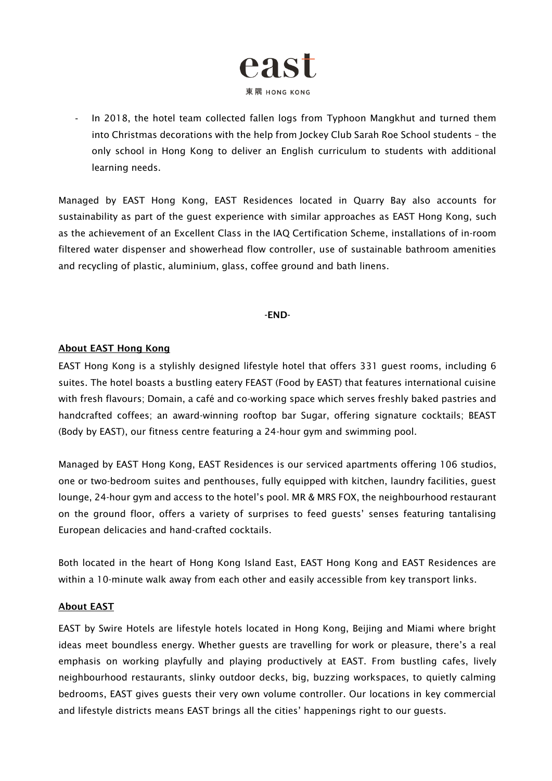

- In 2018, the hotel team collected fallen logs from Typhoon Mangkhut and turned them into Christmas decorations with the help from Jockey Club Sarah Roe School students – the only school in Hong Kong to deliver an English curriculum to students with additional learning needs.

Managed by EAST Hong Kong, EAST Residences located in Quarry Bay also accounts for sustainability as part of the guest experience with similar approaches as EAST Hong Kong, such as the achievement of an Excellent Class in the IAQ Certification Scheme, installations of in-room filtered water dispenser and showerhead flow controller, use of sustainable bathroom amenities and recycling of plastic, aluminium, glass, coffee ground and bath linens.

#### -END-

# About EAST Hong Kong

EAST Hong Kong is a stylishly designed lifestyle hotel that offers 331 guest rooms, including 6 suites. The hotel boasts a bustling eatery FEAST (Food by EAST) that features international cuisine with fresh flavours; Domain, a café and co-working space which serves freshly baked pastries and handcrafted coffees; an award-winning rooftop bar Sugar, offering signature cocktails; BEAST (Body by EAST), our fitness centre featuring a 24-hour gym and swimming pool.

Managed by EAST Hong Kong, EAST Residences is our serviced apartments offering 106 studios, one or two-bedroom suites and penthouses, fully equipped with kitchen, laundry facilities, guest lounge, 24-hour gym and access to the hotel's pool. MR & MRS FOX, the neighbourhood restaurant on the ground floor, offers a variety of surprises to feed guests' senses featuring tantalising European delicacies and hand-crafted cocktails.

Both located in the heart of Hong Kong Island East, EAST Hong Kong and EAST Residences are within a 10-minute walk away from each other and easily accessible from key transport links.

#### About EAST

EAST by Swire Hotels are lifestyle hotels located in Hong Kong, Beijing and Miami where bright ideas meet boundless energy. Whether guests are travelling for work or pleasure, there's a real emphasis on working playfully and playing productively at EAST. From bustling cafes, lively neighbourhood restaurants, slinky outdoor decks, big, buzzing workspaces, to quietly calming bedrooms, EAST gives guests their very own volume controller. Our locations in key commercial and lifestyle districts means EAST brings all the cities' happenings right to our guests.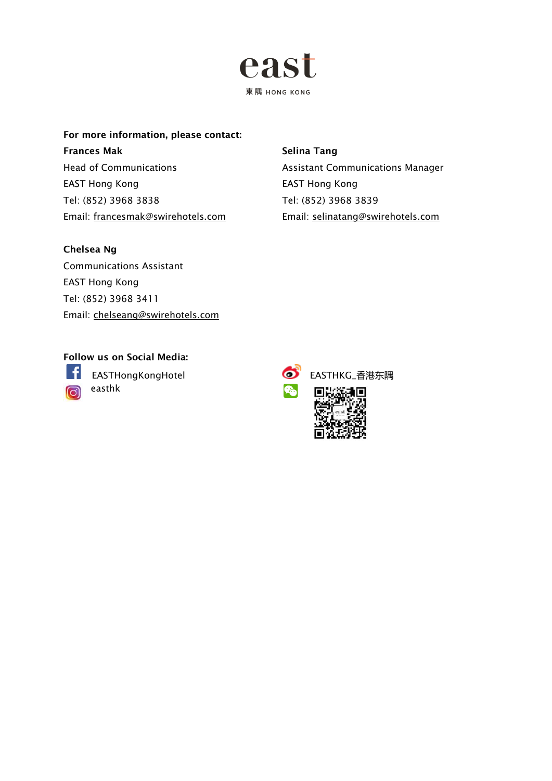

For more information, please contact: Frances Mak Head of Communications EAST Hong Kong Tel: (852) 3968 3838 Email: [francesmak@swirehotels.com](mailto:francesmak@swirehotels.com)

#### Selina Tang

Assistant Communications Manager EAST Hong Kong Tel: (852) 3968 3839 Email: [selinatang@swirehotels.com](mailto:selinatang@swirehotels.com)

# Chelsea Ng

Communications Assistant EAST Hong Kong Tel: (852) 3968 3411 Email: [chelseang@swirehotels.com](mailto:chelseang@swirehotels.com)

# Follow us on Social Media:

-6

easthk